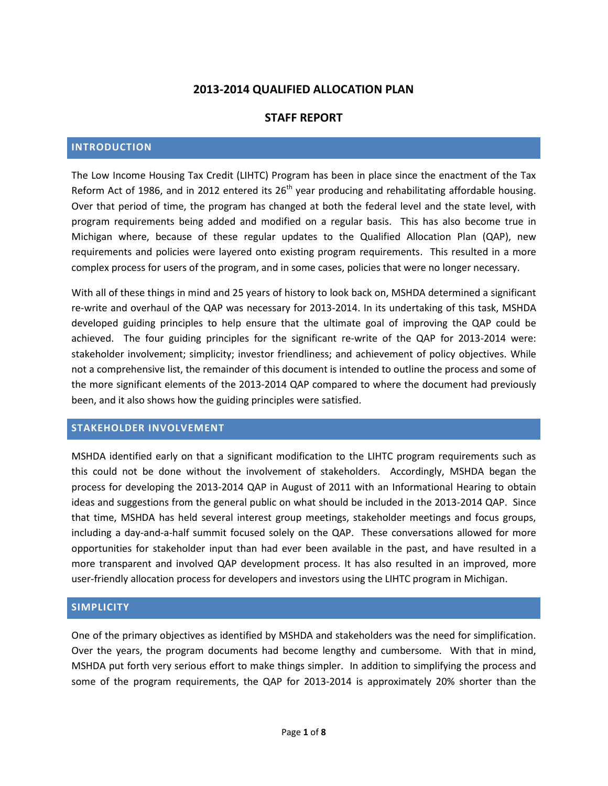# **2013-2014 QUALIFIED ALLOCATION PLAN**

# **STAFF REPORT**

## **INTRODUCTION**

The Low Income Housing Tax Credit (LIHTC) Program has been in place since the enactment of the Tax Reform Act of 1986, and in 2012 entered its  $26<sup>th</sup>$  year producing and rehabilitating affordable housing. Over that period of time, the program has changed at both the federal level and the state level, with program requirements being added and modified on a regular basis. This has also become true in Michigan where, because of these regular updates to the Qualified Allocation Plan (QAP), new requirements and policies were layered onto existing program requirements. This resulted in a more complex process for users of the program, and in some cases, policies that were no longer necessary.

With all of these things in mind and 25 years of history to look back on, MSHDA determined a significant re-write and overhaul of the QAP was necessary for 2013-2014. In its undertaking of this task, MSHDA developed guiding principles to help ensure that the ultimate goal of improving the QAP could be achieved. The four guiding principles for the significant re-write of the QAP for 2013-2014 were: stakeholder involvement; simplicity; investor friendliness; and achievement of policy objectives. While not a comprehensive list, the remainder of this document is intended to outline the process and some of the more significant elements of the 2013-2014 QAP compared to where the document had previously been, and it also shows how the guiding principles were satisfied.

## **STAKEHOLDER INVOLVEMENT**

MSHDA identified early on that a significant modification to the LIHTC program requirements such as this could not be done without the involvement of stakeholders. Accordingly, MSHDA began the process for developing the 2013-2014 QAP in August of 2011 with an Informational Hearing to obtain ideas and suggestions from the general public on what should be included in the 2013-2014 QAP. Since that time, MSHDA has held several interest group meetings, stakeholder meetings and focus groups, including a day-and-a-half summit focused solely on the QAP. These conversations allowed for more opportunities for stakeholder input than had ever been available in the past, and have resulted in a more transparent and involved QAP development process. It has also resulted in an improved, more user-friendly allocation process for developers and investors using the LIHTC program in Michigan.

## **SIMPLICITY**

One of the primary objectives as identified by MSHDA and stakeholders was the need for simplification. Over the years, the program documents had become lengthy and cumbersome. With that in mind, MSHDA put forth very serious effort to make things simpler. In addition to simplifying the process and some of the program requirements, the QAP for 2013-2014 is approximately 20% shorter than the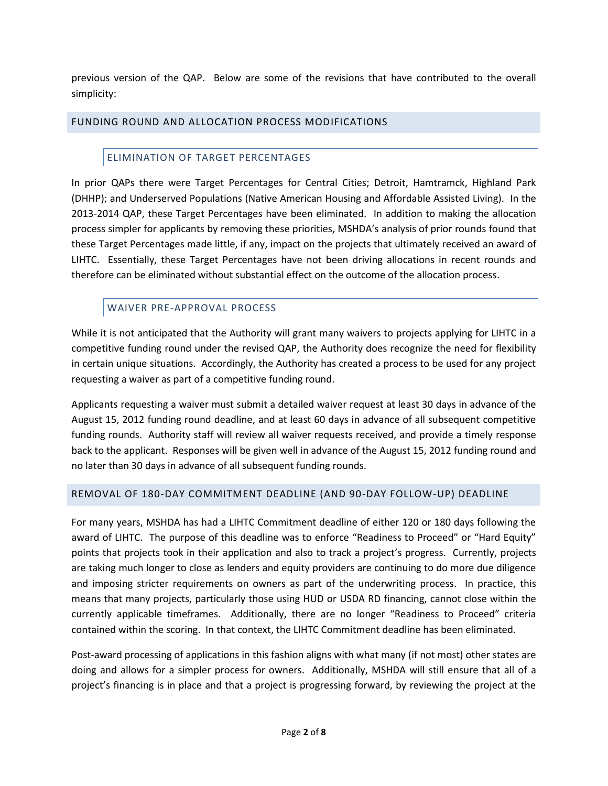previous version of the QAP. Below are some of the revisions that have contributed to the overall simplicity:

# FUNDING ROUND AND ALLOCATION PROCESS MODIFICATIONS

# ELIMINATION OF TARGET PERCENTAGES

In prior QAPs there were Target Percentages for Central Cities; Detroit, Hamtramck, Highland Park (DHHP); and Underserved Populations (Native American Housing and Affordable Assisted Living). In the 2013-2014 QAP, these Target Percentages have been eliminated. In addition to making the allocation process simpler for applicants by removing these priorities, MSHDA's analysis of prior rounds found that these Target Percentages made little, if any, impact on the projects that ultimately received an award of LIHTC. Essentially, these Target Percentages have not been driving allocations in recent rounds and therefore can be eliminated without substantial effect on the outcome of the allocation process.

# WAIVER PRE-APPROVAL PROCESS

While it is not anticipated that the Authority will grant many waivers to projects applying for LIHTC in a competitive funding round under the revised QAP, the Authority does recognize the need for flexibility in certain unique situations. Accordingly, the Authority has created a process to be used for any project requesting a waiver as part of a competitive funding round.

Applicants requesting a waiver must submit a detailed waiver request at least 30 days in advance of the August 15, 2012 funding round deadline, and at least 60 days in advance of all subsequent competitive funding rounds. Authority staff will review all waiver requests received, and provide a timely response back to the applicant. Responses will be given well in advance of the August 15, 2012 funding round and no later than 30 days in advance of all subsequent funding rounds.

# REMOVAL OF 180-DAY COMMITMENT DEADLINE (AND 90-DAY FOLLOW-UP) DEADLINE

For many years, MSHDA has had a LIHTC Commitment deadline of either 120 or 180 days following the award of LIHTC. The purpose of this deadline was to enforce "Readiness to Proceed" or "Hard Equity" points that projects took in their application and also to track a project's progress. Currently, projects are taking much longer to close as lenders and equity providers are continuing to do more due diligence and imposing stricter requirements on owners as part of the underwriting process. In practice, this means that many projects, particularly those using HUD or USDA RD financing, cannot close within the currently applicable timeframes. Additionally, there are no longer "Readiness to Proceed" criteria contained within the scoring. In that context, the LIHTC Commitment deadline has been eliminated.

Post-award processing of applications in this fashion aligns with what many (if not most) other states are doing and allows for a simpler process for owners. Additionally, MSHDA will still ensure that all of a project's financing is in place and that a project is progressing forward, by reviewing the project at the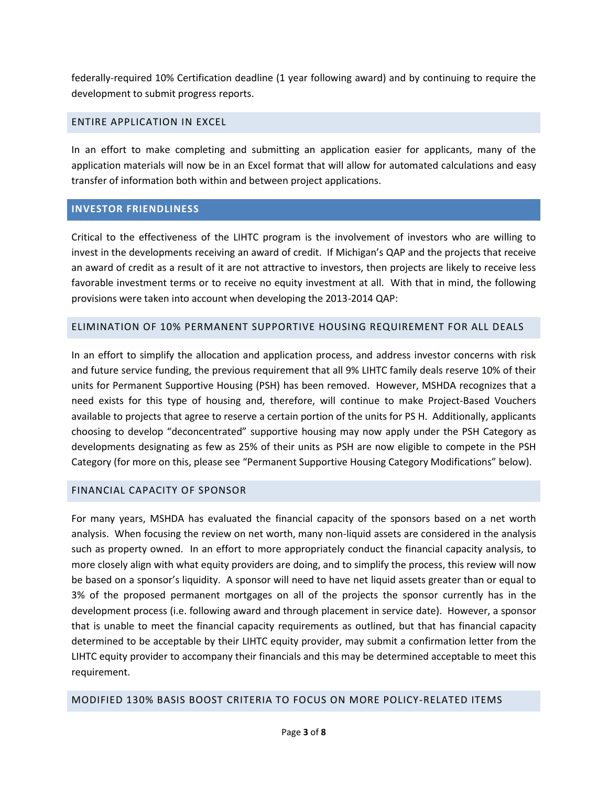federally-required 10% Certification deadline (1 year following award) and by continuing to require the development to submit progress reports.

## ENTIRE APPLICATION IN EXCEL

In an effort to make completing and submitting an application easier for applicants, many of the application materials will now be in an Excel format that will allow for automated calculations and easy transfer of information both within and between project applications.

## **INVESTOR FRIENDLINESS**

Critical to the effectiveness of the LIHTC program is the involvement of investors who are willing to invest in the developments receiving an award of credit. If Michigan's QAP and the projects that receive an award of credit as a result of it are not attractive to investors, then projects are likely to receive less favorable investment terms or to receive no equity investment at all. With that in mind, the following provisions were taken into account when developing the 2013-2014 QAP:

## ELIMINATION OF 10% PERMANENT SUPPORTIVE HOUSING REQUIREMENT FOR ALL DEALS

In an effort to simplify the allocation and application process, and address investor concerns with risk and future service funding, the previous requirement that all 9% LIHTC family deals reserve 10% of their units for Permanent Supportive Housing (PSH) has been removed. However, MSHDA recognizes that a need exists for this type of housing and, therefore, will continue to make Project-Based Vouchers available to projects that agree to reserve a certain portion of the units for PS H. Additionally, applicants choosing to develop "deconcentrated" supportive housing may now apply under the PSH Category as developments designating as few as 25% of their units as PSH are now eligible to compete in the PSH Category (for more on this, please see "Permanent Supportive Housing Category Modifications" below).

# FINANCIAL CAPACITY OF SPONSOR

For many years, MSHDA has evaluated the financial capacity of the sponsors based on a net worth analysis. When focusing the review on net worth, many non-liquid assets are considered in the analysis such as property owned. In an effort to more appropriately conduct the financial capacity analysis, to more closely align with what equity providers are doing, and to simplify the process, this review will now be based on a sponsor's liquidity. A sponsor will need to have net liquid assets greater than or equal to 3% of the proposed permanent mortgages on all of the projects the sponsor currently has in the development process (i.e. following award and through placement in service date). However, a sponsor that is unable to meet the financial capacity requirements as outlined, but that has financial capacity determined to be acceptable by their LIHTC equity provider, may submit a confirmation letter from the LIHTC equity provider to accompany their financials and this may be determined acceptable to meet this requirement.

## MODIFIED 130% BASIS BOOST CRITERIA TO FOCUS ON MORE POLICY-RELATED ITEMS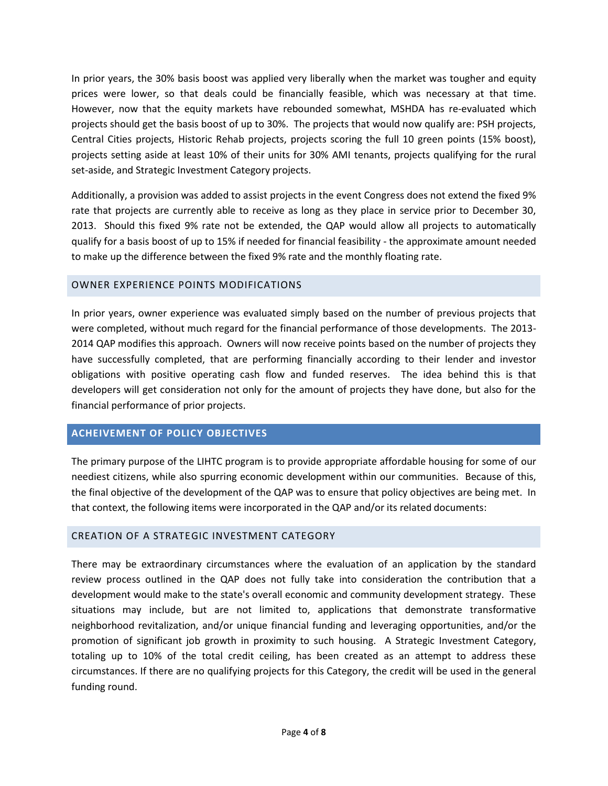In prior years, the 30% basis boost was applied very liberally when the market was tougher and equity prices were lower, so that deals could be financially feasible, which was necessary at that time. However, now that the equity markets have rebounded somewhat, MSHDA has re-evaluated which projects should get the basis boost of up to 30%. The projects that would now qualify are: PSH projects, Central Cities projects, Historic Rehab projects, projects scoring the full 10 green points (15% boost), projects setting aside at least 10% of their units for 30% AMI tenants, projects qualifying for the rural set-aside, and Strategic Investment Category projects.

Additionally, a provision was added to assist projects in the event Congress does not extend the fixed 9% rate that projects are currently able to receive as long as they place in service prior to December 30, 2013. Should this fixed 9% rate not be extended, the QAP would allow all projects to automatically qualify for a basis boost of up to 15% if needed for financial feasibility - the approximate amount needed to make up the difference between the fixed 9% rate and the monthly floating rate.

## OWNER EXPERIENCE POINTS MODIFICATIONS

In prior years, owner experience was evaluated simply based on the number of previous projects that were completed, without much regard for the financial performance of those developments. The 2013- 2014 QAP modifies this approach. Owners will now receive points based on the number of projects they have successfully completed, that are performing financially according to their lender and investor obligations with positive operating cash flow and funded reserves. The idea behind this is that developers will get consideration not only for the amount of projects they have done, but also for the financial performance of prior projects.

# **ACHEIVEMENT OF POLICY OBJECTIVES**

The primary purpose of the LIHTC program is to provide appropriate affordable housing for some of our neediest citizens, while also spurring economic development within our communities. Because of this, the final objective of the development of the QAP was to ensure that policy objectives are being met. In that context, the following items were incorporated in the QAP and/or its related documents:

# CREATION OF A STRATEGIC INVESTMENT CATEGORY

There may be extraordinary circumstances where the evaluation of an application by the standard review process outlined in the QAP does not fully take into consideration the contribution that a development would make to the state's overall economic and community development strategy. These situations may include, but are not limited to, applications that demonstrate transformative neighborhood revitalization, and/or unique financial funding and leveraging opportunities, and/or the promotion of significant job growth in proximity to such housing. A Strategic Investment Category, totaling up to 10% of the total credit ceiling, has been created as an attempt to address these circumstances. If there are no qualifying projects for this Category, the credit will be used in the general funding round.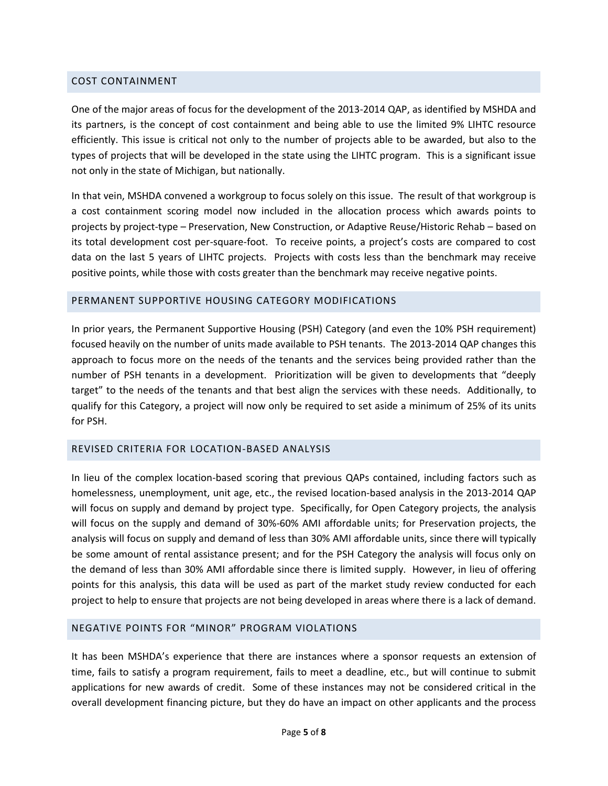#### COST CONTAINMENT

One of the major areas of focus for the development of the 2013-2014 QAP, as identified by MSHDA and its partners, is the concept of cost containment and being able to use the limited 9% LIHTC resource efficiently. This issue is critical not only to the number of projects able to be awarded, but also to the types of projects that will be developed in the state using the LIHTC program. This is a significant issue not only in the state of Michigan, but nationally.

In that vein, MSHDA convened a workgroup to focus solely on this issue. The result of that workgroup is a cost containment scoring model now included in the allocation process which awards points to projects by project-type – Preservation, New Construction, or Adaptive Reuse/Historic Rehab – based on its total development cost per-square-foot. To receive points, a project's costs are compared to cost data on the last 5 years of LIHTC projects. Projects with costs less than the benchmark may receive positive points, while those with costs greater than the benchmark may receive negative points.

#### PERMANENT SUPPORTIVE HOUSING CATEGORY MODIFICATIONS

In prior years, the Permanent Supportive Housing (PSH) Category (and even the 10% PSH requirement) focused heavily on the number of units made available to PSH tenants. The 2013-2014 QAP changes this approach to focus more on the needs of the tenants and the services being provided rather than the number of PSH tenants in a development. Prioritization will be given to developments that "deeply target" to the needs of the tenants and that best align the services with these needs. Additionally, to qualify for this Category, a project will now only be required to set aside a minimum of 25% of its units for PSH.

# REVISED CRITERIA FOR LOCATION-BASED ANALYSIS

In lieu of the complex location-based scoring that previous QAPs contained, including factors such as homelessness, unemployment, unit age, etc., the revised location-based analysis in the 2013-2014 QAP will focus on supply and demand by project type. Specifically, for Open Category projects, the analysis will focus on the supply and demand of 30%-60% AMI affordable units; for Preservation projects, the analysis will focus on supply and demand of less than 30% AMI affordable units, since there will typically be some amount of rental assistance present; and for the PSH Category the analysis will focus only on the demand of less than 30% AMI affordable since there is limited supply. However, in lieu of offering points for this analysis, this data will be used as part of the market study review conducted for each project to help to ensure that projects are not being developed in areas where there is a lack of demand.

### NEGATIVE POINTS FOR "MINOR" PROGRAM VIOLATIONS

It has been MSHDA's experience that there are instances where a sponsor requests an extension of time, fails to satisfy a program requirement, fails to meet a deadline, etc., but will continue to submit applications for new awards of credit. Some of these instances may not be considered critical in the overall development financing picture, but they do have an impact on other applicants and the process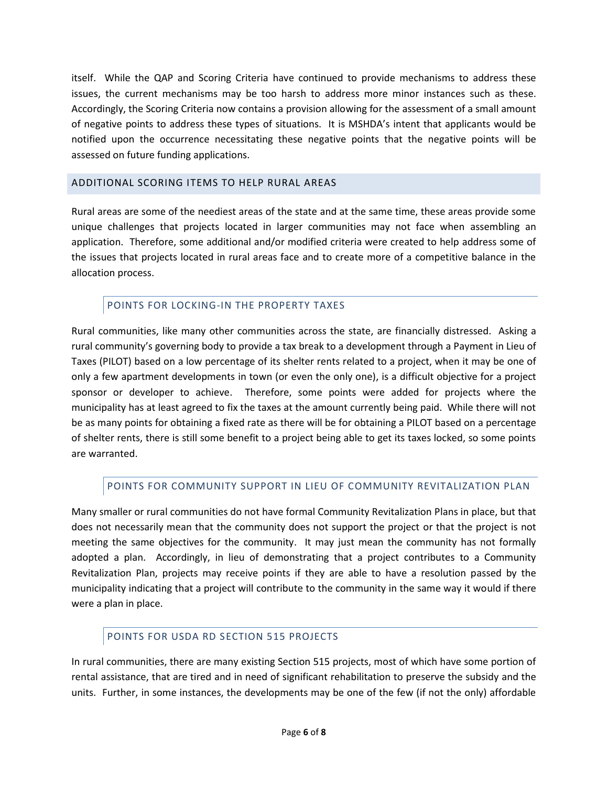itself. While the QAP and Scoring Criteria have continued to provide mechanisms to address these issues, the current mechanisms may be too harsh to address more minor instances such as these. Accordingly, the Scoring Criteria now contains a provision allowing for the assessment of a small amount of negative points to address these types of situations. It is MSHDA's intent that applicants would be notified upon the occurrence necessitating these negative points that the negative points will be assessed on future funding applications.

# ADDITIONAL SCORING ITEMS TO HELP RURAL AREAS

Rural areas are some of the neediest areas of the state and at the same time, these areas provide some unique challenges that projects located in larger communities may not face when assembling an application. Therefore, some additional and/or modified criteria were created to help address some of the issues that projects located in rural areas face and to create more of a competitive balance in the allocation process.

# POINTS FOR LOCKING-IN THE PROPERTY TAXES

Rural communities, like many other communities across the state, are financially distressed. Asking a rural community's governing body to provide a tax break to a development through a Payment in Lieu of Taxes (PILOT) based on a low percentage of its shelter rents related to a project, when it may be one of only a few apartment developments in town (or even the only one), is a difficult objective for a project sponsor or developer to achieve. Therefore, some points were added for projects where the municipality has at least agreed to fix the taxes at the amount currently being paid. While there will not be as many points for obtaining a fixed rate as there will be for obtaining a PILOT based on a percentage of shelter rents, there is still some benefit to a project being able to get its taxes locked, so some points are warranted.

# POINTS FOR COMMUNITY SUPPORT IN LIEU OF COMMUNITY REVITALIZATION PLAN

Many smaller or rural communities do not have formal Community Revitalization Plans in place, but that does not necessarily mean that the community does not support the project or that the project is not meeting the same objectives for the community. It may just mean the community has not formally adopted a plan. Accordingly, in lieu of demonstrating that a project contributes to a Community Revitalization Plan, projects may receive points if they are able to have a resolution passed by the municipality indicating that a project will contribute to the community in the same way it would if there were a plan in place.

# POINTS FOR USDA RD SECTION 515 PROJECTS

In rural communities, there are many existing Section 515 projects, most of which have some portion of rental assistance, that are tired and in need of significant rehabilitation to preserve the subsidy and the units. Further, in some instances, the developments may be one of the few (if not the only) affordable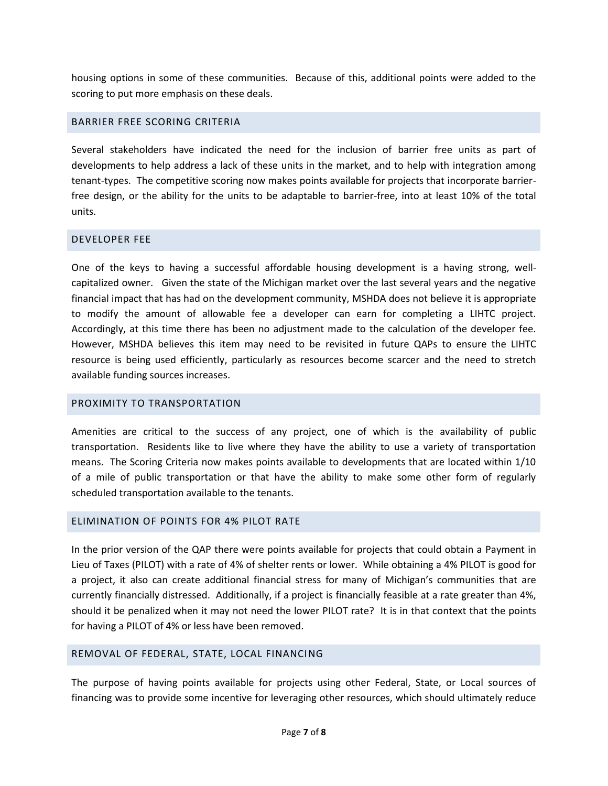housing options in some of these communities. Because of this, additional points were added to the scoring to put more emphasis on these deals.

## BARRIER FREE SCORING CRITERIA

Several stakeholders have indicated the need for the inclusion of barrier free units as part of developments to help address a lack of these units in the market, and to help with integration among tenant-types. The competitive scoring now makes points available for projects that incorporate barrierfree design, or the ability for the units to be adaptable to barrier-free, into at least 10% of the total units.

## DEVELOPER FEE

One of the keys to having a successful affordable housing development is a having strong, wellcapitalized owner. Given the state of the Michigan market over the last several years and the negative financial impact that has had on the development community, MSHDA does not believe it is appropriate to modify the amount of allowable fee a developer can earn for completing a LIHTC project. Accordingly, at this time there has been no adjustment made to the calculation of the developer fee. However, MSHDA believes this item may need to be revisited in future QAPs to ensure the LIHTC resource is being used efficiently, particularly as resources become scarcer and the need to stretch available funding sources increases.

## PROXIMITY TO TRANSPORTATION

Amenities are critical to the success of any project, one of which is the availability of public transportation. Residents like to live where they have the ability to use a variety of transportation means. The Scoring Criteria now makes points available to developments that are located within 1/10 of a mile of public transportation or that have the ability to make some other form of regularly scheduled transportation available to the tenants.

## ELIMINATION OF POINTS FOR 4% PILOT RATE

In the prior version of the QAP there were points available for projects that could obtain a Payment in Lieu of Taxes (PILOT) with a rate of 4% of shelter rents or lower. While obtaining a 4% PILOT is good for a project, it also can create additional financial stress for many of Michigan's communities that are currently financially distressed. Additionally, if a project is financially feasible at a rate greater than 4%, should it be penalized when it may not need the lower PILOT rate? It is in that context that the points for having a PILOT of 4% or less have been removed.

## REMOVAL OF FEDERAL, STATE, LOCAL FINANCING

The purpose of having points available for projects using other Federal, State, or Local sources of financing was to provide some incentive for leveraging other resources, which should ultimately reduce